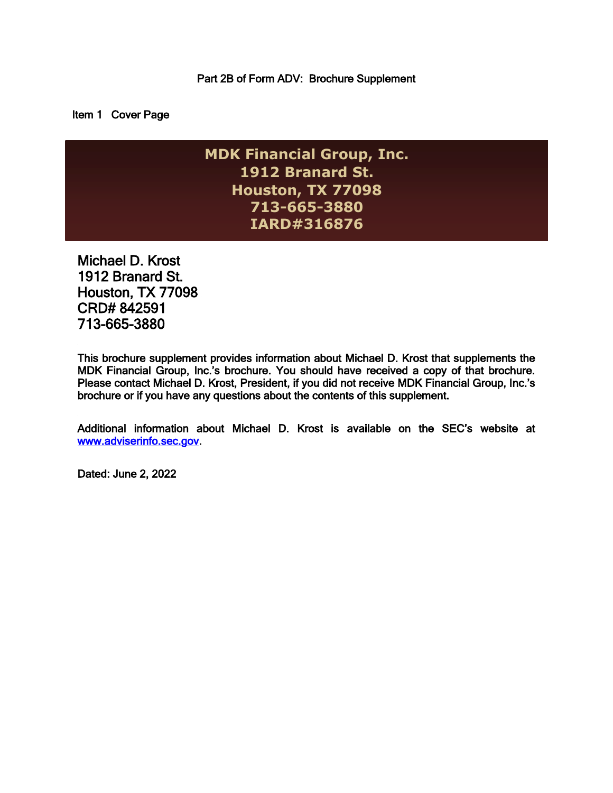Item 1 Cover Page

**MDK Financial Group, Inc. 1912 Branard St. Houston, TX 77098 713-665-3880 IARD#316876**

Michael D. Krost 1912 Branard St. Houston, TX 77098 CRD# 842591 713-665-3880

This brochure supplement provides information about Michael D. Krost that supplements the MDK Financial Group, Inc.'s brochure. You should have received a copy of that brochure. Please contact Michael D. Krost, President, if you did not receive MDK Financial Group, Inc.'s brochure or if you have any questions about the contents of this supplement.

Additional information about Michael D. Krost is available on the SEC's website at [www.adviserinfo.sec.gov.](http://www.adviserinfo.sec.gov/)

Dated: June 2, 2022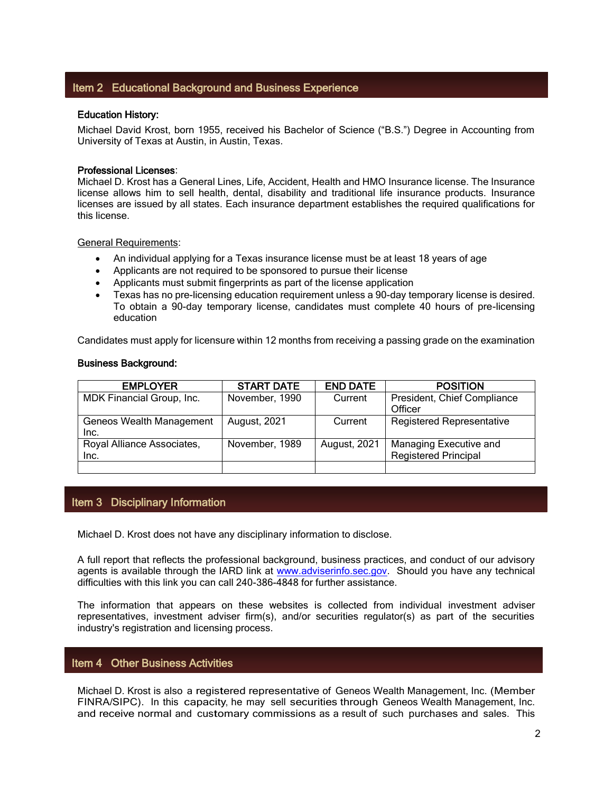# Item 2 Educational Background and Business Experience

### Education History:

Michael David Krost, born 1955, received his Bachelor of Science ("B.S.") Degree in Accounting from University of Texas at Austin, in Austin, Texas.

#### Professional Licenses:

Michael D. Krost has a General Lines, Life, Accident, Health and HMO Insurance license. The Insurance license allows him to sell health, dental, disability and traditional life insurance products. Insurance licenses are issued by all states. Each insurance department establishes the required qualifications for this license.

General Requirements:

- An individual applying for a Texas insurance license must be at least 18 years of age
- Applicants are not required to be sponsored to pursue their license
- Applicants must submit fingerprints as part of the license application
- Texas has no pre-licensing education requirement unless a 90-day temporary license is desired. To obtain a 90-day temporary license, candidates must complete 40 hours of pre-licensing education

Candidates must apply for licensure within 12 months from receiving a passing grade on the examination

#### Business Background:

| <b>EMPLOYER</b>                         | <b>START DATE</b> | <b>END DATE</b> | <b>POSITION</b>                                       |
|-----------------------------------------|-------------------|-----------------|-------------------------------------------------------|
| MDK Financial Group, Inc.               | November, 1990    | Current         | President, Chief Compliance<br>Officer                |
| <b>Geneos Wealth Management</b><br>Inc. | August, 2021      | Current         | <b>Registered Representative</b>                      |
| Royal Alliance Associates,<br>Inc.      | November, 1989    | August, 2021    | Managing Executive and<br><b>Registered Principal</b> |
|                                         |                   |                 |                                                       |

# Item 3 Disciplinary Information

Michael D. Krost does not have any disciplinary information to disclose.

A full report that reflects the professional background, business practices, and conduct of our advisory agents is available through the IARD link at [www.adviserinfo.sec.gov.](http://www.adviserinfo.sec.gov/) Should you have any technical difficulties with this link you can call 240-386-4848 for further assistance.

The information that appears on these websites is collected from individual investment adviser representatives, investment adviser firm(s), and/or securities regulator(s) as part of the securities industry's registration and licensing process.

# Item 4 Other Business Activities

Michael D. Krost is also <sup>a</sup> registered representative of Geneos Wealth Management, Inc. (Member FINRA/SIPC). In this capacity, he may sell securities through Geneos Wealth Management, Inc. and receive normal and customary commissions as <sup>a</sup> result of such purchases and sales. This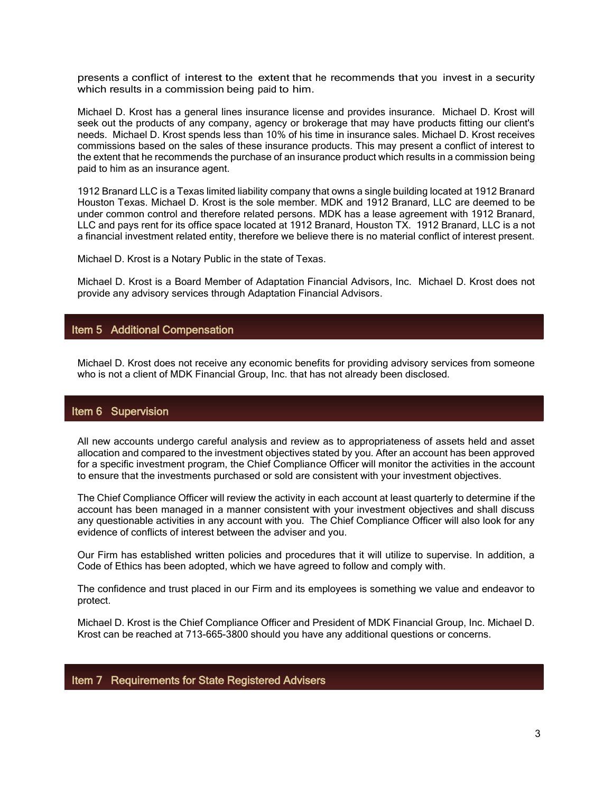presents a conflict of interest to the extent that he recommends that you invest in <sup>a</sup> security which results in a commission being paid to him.

Michael D. Krost has a general lines insurance license and provides insurance. Michael D. Krost will seek out the products of any company, agency or brokerage that may have products fitting our client's needs. Michael D. Krost spends less than 10% of his time in insurance sales. Michael D. Krost receives commissions based on the sales of these insurance products. This may present a conflict of interest to the extent that he recommends the purchase of an insurance product which results in a commission being paid to him as an insurance agent.

1912 Branard LLC is a Texas limited liability company that owns a single building located at 1912 Branard Houston Texas. Michael D. Krost is the sole member. MDK and 1912 Branard, LLC are deemed to be under common control and therefore related persons. MDK has a lease agreement with 1912 Branard, LLC and pays rent for its office space located at 1912 Branard, Houston TX. 1912 Branard, LLC is a not a financial investment related entity, therefore we believe there is no material conflict of interest present.

Michael D. Krost is a Notary Public in the state of Texas.

Michael D. Krost is a Board Member of Adaptation Financial Advisors, Inc. Michael D. Krost does not provide any advisory services through Adaptation Financial Advisors.

# Item 5 Additional Compensation

Michael D. Krost does not receive any economic benefits for providing advisory services from someone who is not a client of MDK Financial Group, Inc. that has not already been disclosed.

### Item 6 Supervision

All new accounts undergo careful analysis and review as to appropriateness of assets held and asset allocation and compared to the investment objectives stated by you. After an account has been approved for a specific investment program, the Chief Compliance Officer will monitor the activities in the account to ensure that the investments purchased or sold are consistent with your investment objectives.

The Chief Compliance Officer will review the activity in each account at least quarterly to determine if the account has been managed in a manner consistent with your investment objectives and shall discuss any questionable activities in any account with you. The Chief Compliance Officer will also look for any evidence of conflicts of interest between the adviser and you.

Our Firm has established written policies and procedures that it will utilize to supervise. In addition, a Code of Ethics has been adopted, which we have agreed to follow and comply with.

The confidence and trust placed in our Firm and its employees is something we value and endeavor to protect.

Michael D. Krost is the Chief Compliance Officer and President of MDK Financial Group, Inc. Michael D. Krost can be reached at 713-665-3800 should you have any additional questions or concerns.

### Item 7 Requirements for State Registered Advisers